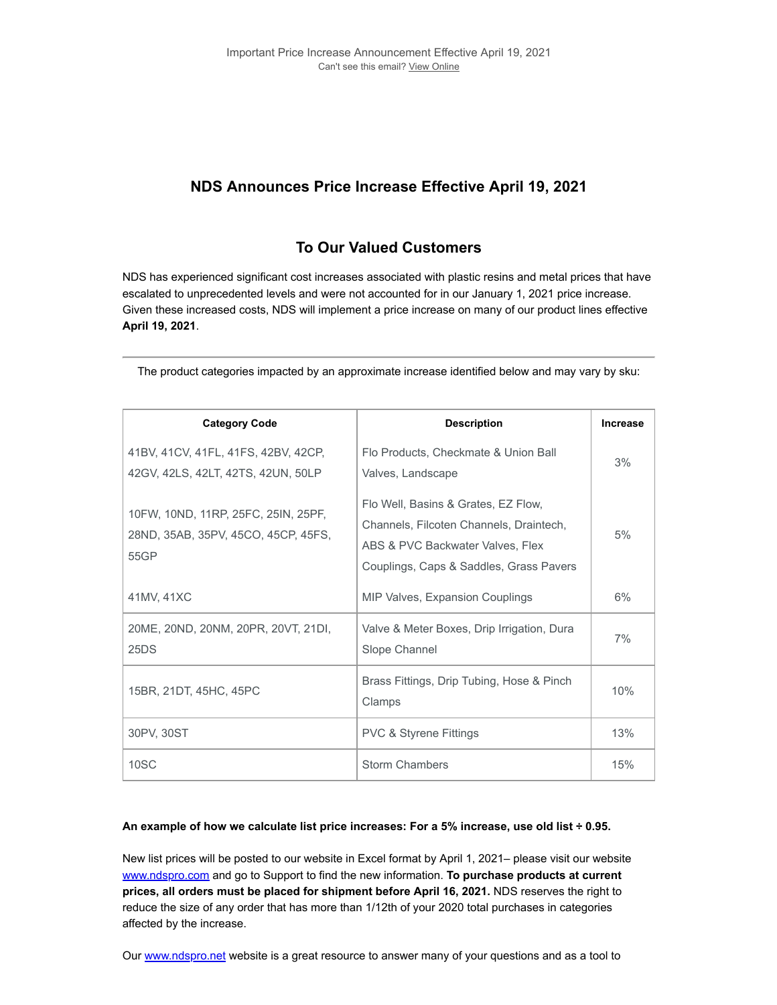## **NDS Announces Price Increase Effective April 19, 2021**

## **To Our Valued Customers**

NDS has experienced significant cost increases associated with plastic resins and metal prices that have escalated to unprecedented levels and were not accounted for in our January 1, 2021 price increase. Given these increased costs, NDS will implement a price increase on many of our product lines effective **April 19, 2021**.

| <b>Category Code</b>                                                               | <b>Description</b>                                                                                                                                            | Increase |
|------------------------------------------------------------------------------------|---------------------------------------------------------------------------------------------------------------------------------------------------------------|----------|
| 41BV, 41CV, 41FL, 41FS, 42BV, 42CP,<br>42GV, 42LS, 42LT, 42TS, 42UN, 50LP          | Flo Products, Checkmate & Union Ball<br>Valves, Landscape                                                                                                     | 3%       |
| 10FW, 10ND, 11RP, 25FC, 25IN, 25PF,<br>28ND, 35AB, 35PV, 45CO, 45CP, 45FS,<br>55GP | Flo Well, Basins & Grates, EZ Flow,<br>Channels, Filcoten Channels, Draintech,<br>ABS & PVC Backwater Valves, Flex<br>Couplings, Caps & Saddles, Grass Pavers | 5%       |
| 41MV, 41XC                                                                         | <b>MIP Valves, Expansion Couplings</b>                                                                                                                        | 6%       |
| 20ME, 20ND, 20NM, 20PR, 20VT, 21DI,<br>25DS                                        | Valve & Meter Boxes, Drip Irrigation, Dura<br>Slope Channel                                                                                                   | 7%       |
| 15BR, 21DT, 45HC, 45PC                                                             | Brass Fittings, Drip Tubing, Hose & Pinch<br>Clamps                                                                                                           | 10%      |
| 30PV, 30ST                                                                         | <b>PVC &amp; Styrene Fittings</b>                                                                                                                             | 13%      |
| 10SC                                                                               | <b>Storm Chambers</b>                                                                                                                                         | 15%      |

The product categories impacted by an approximate increase identified below and may vary by sku:

## **An example of how we calculate list price increases: For a 5% increase, use old list ÷ 0.95.**

New list prices will be posted to our website in Excel format by April 1, 2021– please visit our website [www.ndspro.com](https://connect.ndspro.com/e/514831/-2-2021-utm-content-ndspro-com/3tgwcp/588784830?h=FhS5SZXbIsnpfMoxYqiPi9JkFamTTDkne9hfgeGyJD0) and go to Support to find the new information. **To purchase products at current prices, all orders must be placed for shipment before April 16, 2021.** NDS reserves the right to reduce the size of any order that has more than 1/12th of your 2020 total purchases in categories affected by the increase.

Our [www.ndspro.net](https://connect.ndspro.com/e/514831/se-2021-utm-content-ndspro-net/3tgwcr/588784830?h=FhS5SZXbIsnpfMoxYqiPi9JkFamTTDkne9hfgeGyJD0) website is a great resource to answer many of your questions and as a tool to